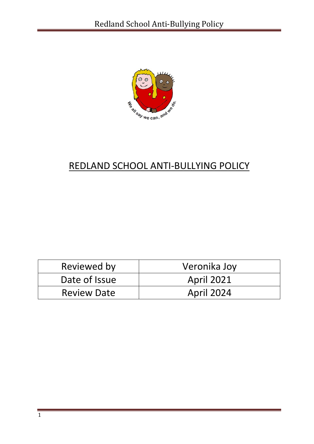

# REDLAND SCHOOL ANTI-BULLYING POLICY

| Reviewed by        | Veronika Joy      |
|--------------------|-------------------|
| Date of Issue      | <b>April 2021</b> |
| <b>Review Date</b> | <b>April 2024</b> |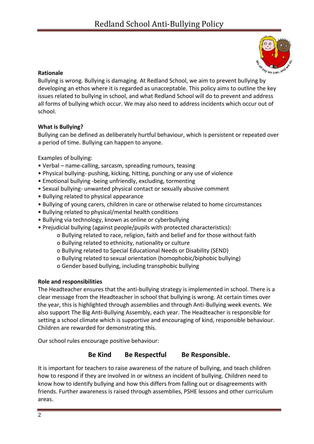

# **Rationale**

Bullying is wrong. Bullying is damaging. At Redland School, we aim to prevent bullying by developing an ethos where it is regarded as unacceptable. This policy aims to outline the key issues related to bullying in school, and what Redland School will do to prevent and address all forms of bullying which occur. We may also need to address incidents which occur out of school.

# **What is Bullying?**

Bullying can be defined as deliberately hurtful behaviour, which is persistent or repeated over a period of time. Bullying can happen to anyone.

Examples of bullying:

- Verbal name-calling, sarcasm, spreading rumours, teasing
- Physical bullying- pushing, kicking, hitting, punching or any use of violence
- Emotional bullying -being unfriendly, excluding, tormenting
- Sexual bullying- unwanted physical contact or sexually abusive comment
- Bullying related to physical appearance
- Bullying of young carers, children in care or otherwise related to home circumstances
- Bullying related to physical/mental health conditions
- Bullying via technology, known as online or cyberbullying
- Prejudicial bullying (against people/pupils with protected characteristics):
	- o Bullying related to race, religion, faith and belief and for those without faith
	- o Bullying related to ethnicity, nationality or culture
	- o Bullying related to Special Educational Needs or Disability (SEND)
	- o Bullying related to sexual orientation (homophobic/biphobic bullying)
	- o Gender based bullying, including transphobic bullying

## **Role and responsibilities**

The Headteacher ensures that the anti-bullying strategy is implemented in school. There is a clear message from the Headteacher in school that bullying is wrong. At certain times over the year, this is highlighted through assemblies and through Anti-Bullying week events. We also support The Big Anti-Bullying Assembly, each year. The Headteacher is responsible for setting a school climate which is supportive and encouraging of kind, responsible behaviour. Children are rewarded for demonstrating this.

Our school rules encourage positive behaviour:

# **Be Kind Be Respectful Be Responsible.**

It is important for teachers to raise awareness of the nature of bullying, and teach children how to respond if they are involved in or witness an incident of bullying. Children need to know how to identify bullying and how this differs from falling out or disagreements with friends. Further awareness is raised through assemblies, PSHE lessons and other curriculum areas.